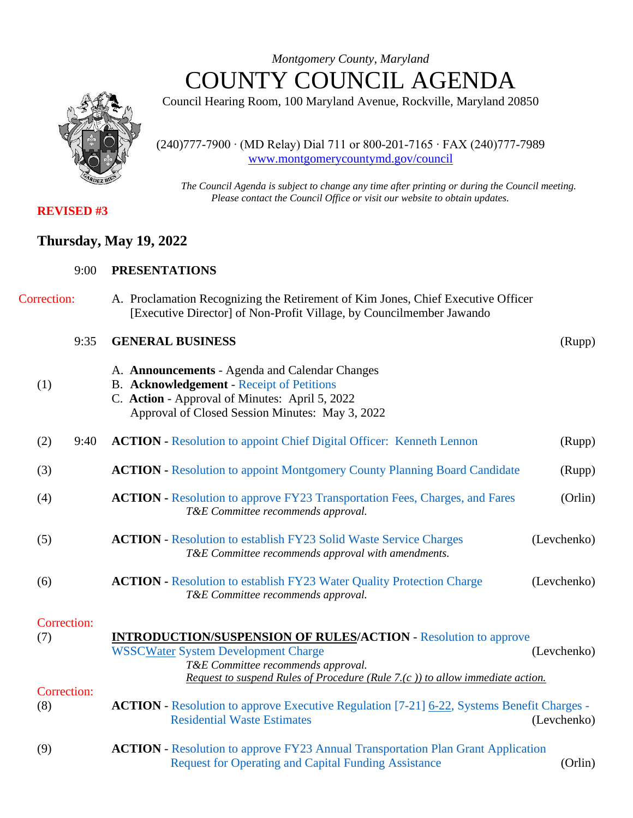*Montgomery County, Maryland* COUNTY COUNCIL AGENDA

Council Hearing Room, 100 Maryland Avenue, Rockville, Maryland 20850

(240)777-7900 ∙ (MD Relay) Dial 711 or 800-201-7165 ∙ FAX (240)777-7989 [www.montgomerycountymd.gov/council](file:///C:/Documents%20and%20Settings/hernas01/Local%20Settings/Temporary%20Internet%20Files/Local%20Settings/Temporary%20Internet%20Files/OLK178/www.montgomerycountymd.gov/council)

*The Council Agenda is subject to change any time after printing or during the Council meeting. Please contact the Council Office or visit our website to obtain updates.*

# **REVISED #3**

# **Thursday, May 19, 2022**

| <b>Correction:</b> | A. Proclamation Recognizing the Retirement of Kim Jones, Chief Executive Officer |
|--------------------|----------------------------------------------------------------------------------|
|                    | [Executive Director] of Non-Profit Village, by Councilmember Jawando             |

|     | 9:35               | <b>GENERAL BUSINESS</b>                                                                                                                                                                                                                     | (Rupp)      |
|-----|--------------------|---------------------------------------------------------------------------------------------------------------------------------------------------------------------------------------------------------------------------------------------|-------------|
| (1) |                    | A. Announcements - Agenda and Calendar Changes<br>B. Acknowledgement - Receipt of Petitions<br>C. Action - Approval of Minutes: April 5, 2022<br>Approval of Closed Session Minutes: May 3, 2022                                            |             |
| (2) | 9:40               | <b>ACTION - Resolution to appoint Chief Digital Officer: Kenneth Lennon</b>                                                                                                                                                                 | (Rupp)      |
| (3) |                    | <b>ACTION</b> - Resolution to appoint Montgomery County Planning Board Candidate                                                                                                                                                            | (Rupp)      |
| (4) |                    | <b>ACTION</b> - Resolution to approve FY23 Transportation Fees, Charges, and Fares<br>T&E Committee recommends approval.                                                                                                                    | (Orlin)     |
| (5) |                    | <b>ACTION</b> - Resolution to establish FY23 Solid Waste Service Charges<br>T&E Committee recommends approval with amendments.                                                                                                              | (Levchenko) |
| (6) |                    | <b>ACTION</b> - Resolution to establish FY23 Water Quality Protection Charge<br>T&E Committee recommends approval.                                                                                                                          | (Levchenko) |
| (7) | Correction:        | <b>INTRODUCTION/SUSPENSION OF RULES/ACTION - Resolution to approve</b><br><b>WSSCWater System Development Charge</b><br>T&E Committee recommends approval.<br>Request to suspend Rules of Procedure (Rule 7.(c)) to allow immediate action. | (Levchenko) |
| (8) | <b>Correction:</b> | <b>ACTION</b> - Resolution to approve Executive Regulation [7-21] 6-22, Systems Benefit Charges -<br><b>Residential Waste Estimates</b>                                                                                                     | (Levchenko) |

(9) **ACTION** - [Resolution to approve FY23 Annual Transportation Plan Grant Application](https://www.montgomerycountymd.gov/council/Resources/Files/agenda/col/2022/20220519/20220519_9.pdf)  [Request for Operating and Capital Funding Assistance](https://www.montgomerycountymd.gov/council/Resources/Files/agenda/col/2022/20220519/20220519_9.pdf) (Orlin)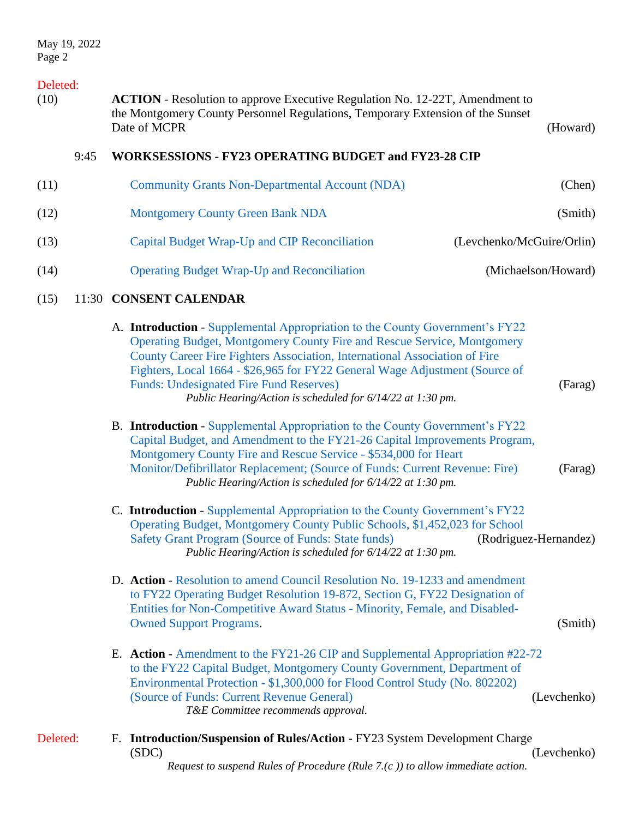### Deleted:

(10) **ACTION** - Resolution to approve Executive Regulation No. 12-22T, Amendment to the Montgomery County Personnel Regulations, Temporary Extension of the Sunset Date of MCPR (Howard) and the contract of the contract of the contract of the contract of the contract of the contract of the contract of the contract of the contract of the contract of the contract of the contract of the

### 9:45 **WORKSESSIONS - FY23 OPERATING BUDGET and FY23-28 CIP**

| (Chen)                    | <b>Community Grants Non-Departmental Account (NDA)</b> | (11) |
|---------------------------|--------------------------------------------------------|------|
| (Smith)                   | <b>Montgomery County Green Bank NDA</b>                | (12) |
| (Levchenko/McGuire/Orlin) | Capital Budget Wrap-Up and CIP Reconciliation          | (13) |
| (Michaelson/Howard)       | <b>Operating Budget Wrap-Up and Reconciliation</b>     | (14) |

#### (15) 11:30 **CONSENT CALENDAR**

| A. Introduction - Supplemental Appropriation to the County Government's FY22 |         |
|------------------------------------------------------------------------------|---------|
| Operating Budget, Montgomery County Fire and Rescue Service, Montgomery      |         |
| County Career Fire Fighters Association, International Association of Fire   |         |
| Fighters, Local 1664 - \$26,965 for FY22 General Wage Adjustment (Source of  |         |
| <b>Funds: Undesignated Fire Fund Reserves)</b>                               | (Farag) |
| Public Hearing/Action is scheduled for 6/14/22 at 1:30 pm.                   |         |
|                                                                              |         |

- B. **Introduction** [Supplemental Appropriation to the County Government's FY22](https://www.montgomerycountymd.gov/council/Resources/Files/agenda/col/2022/20220519/20220519_15B.pdf)  [Capital Budget, and Amendment to the FY21-26 Capital Improvements Program,](https://www.montgomerycountymd.gov/council/Resources/Files/agenda/col/2022/20220519/20220519_15B.pdf)  [Montgomery County Fire and Rescue Service -](https://www.montgomerycountymd.gov/council/Resources/Files/agenda/col/2022/20220519/20220519_15B.pdf) \$534,000 for Heart [Monitor/Defibrillator Replacement; \(Source of Funds:](https://www.montgomerycountymd.gov/council/Resources/Files/agenda/col/2022/20220519/20220519_15B.pdf) Current Revenue: Fire) (Farag) *Public Hearing/Action is scheduled for 6/14/22 at 1:30 pm.*
- C. **Introduction** [Supplemental Appropriation to the County Government's FY22](https://www.montgomerycountymd.gov/council/Resources/Files/agenda/col/2022/20220519/20220519_15C.pdf)  Operating [Budget, Montgomery County Public Schools, \\$1,452,023 for School](https://www.montgomerycountymd.gov/council/Resources/Files/agenda/col/2022/20220519/20220519_15C.pdf)  [Safety Grant Program \(Source of Funds: State funds\)](https://www.montgomerycountymd.gov/council/Resources/Files/agenda/col/2022/20220519/20220519_15C.pdf) (Rodriguez-Hernandez) *Public Hearing/Action is scheduled for 6/14/22 at 1:30 pm.*
- D. **Action** [Resolution to amend Council Resolution No. 19-1233 and amendment](https://www.montgomerycountymd.gov/council/Resources/Files/agenda/col/2022/20220519/20220519_15D.pdf)  [to FY22 Operating Budget Resolution 19-872, Section G, FY22 Designation of](https://www.montgomerycountymd.gov/council/Resources/Files/agenda/col/2022/20220519/20220519_15D.pdf)  [Entities for Non-Competitive Award Status -](https://www.montgomerycountymd.gov/council/Resources/Files/agenda/col/2022/20220519/20220519_15D.pdf) Minority, Female, and Disabled-[Owned Support Programs.](https://www.montgomerycountymd.gov/council/Resources/Files/agenda/col/2022/20220519/20220519_15D.pdf) (Smith)
- E. **Action** [Amendment to the FY21-26 CIP and Supplemental Appropriation #22-72](https://www.montgomerycountymd.gov/council/Resources/Files/agenda/col/2022/20220519/20220519_15E.pdf)  [to the FY22 Capital Budget, Montgomery County Government, Department of](https://www.montgomerycountymd.gov/council/Resources/Files/agenda/col/2022/20220519/20220519_15E.pdf)  Environmental Protection - [\\$1,300,000 for Flood Control Study \(No. 802202\)](https://www.montgomerycountymd.gov/council/Resources/Files/agenda/col/2022/20220519/20220519_15E.pdf)  [\(Source of Funds: Current Revenue General\)](https://www.montgomerycountymd.gov/council/Resources/Files/agenda/col/2022/20220519/20220519_15E.pdf) (Levchenko) *T&E Committee recommends approval.*
- Deleted: F. **Introduction/Suspension of Rules/Action -** FY23 System Development Charge (SDC) (Levchenko) *Request to suspend Rules of Procedure (Rule 7.(c )) to allow immediate action.*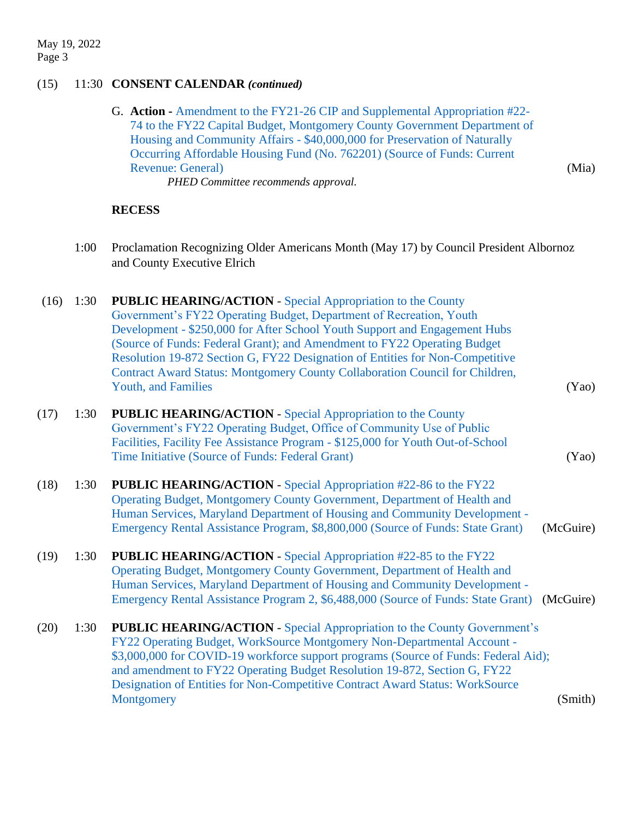# (15) 11:30 **CONSENT CALENDAR** *(continued)*

| <b>G. Action - Amendment to the FY21-26 CIP and Supplemental Appropriation #22-</b> |       |
|-------------------------------------------------------------------------------------|-------|
| 74 to the FY22 Capital Budget, Montgomery County Government Department of           |       |
| Housing and Community Affairs - \$40,000,000 for Preservation of Naturally          |       |
| Occurring Affordable Housing Fund (No. 762201) (Source of Funds: Current            |       |
| <b>Revenue: General</b> )                                                           | (Mia) |
| PHED Committee recommends approval.                                                 |       |

## **RECESS**

| 1:00 | Proclamation Recognizing Older Americans Month (May 17) by Council President Albornoz |
|------|---------------------------------------------------------------------------------------|
|      | and County Executive Elrich                                                           |

| (16) | 1:30 | <b>PUBLIC HEARING/ACTION - Special Appropriation to the County</b><br>Government's FY22 Operating Budget, Department of Recreation, Youth<br>Development - \$250,000 for After School Youth Support and Engagement Hubs<br>(Source of Funds: Federal Grant); and Amendment to FY22 Operating Budget<br>Resolution 19-872 Section G, FY22 Designation of Entities for Non-Competitive<br>Contract Award Status: Montgomery County Collaboration Council for Children, |
|------|------|----------------------------------------------------------------------------------------------------------------------------------------------------------------------------------------------------------------------------------------------------------------------------------------------------------------------------------------------------------------------------------------------------------------------------------------------------------------------|
|      |      | <b>Youth, and Families</b><br>(Yao)                                                                                                                                                                                                                                                                                                                                                                                                                                  |
| (17) | 1:30 | <b>PUBLIC HEARING/ACTION - Special Appropriation to the County</b><br>Government's FY22 Operating Budget, Office of Community Use of Public<br>Facilities, Facility Fee Assistance Program - \$125,000 for Youth Out-of-School<br>Time Initiative (Source of Funds: Federal Grant)<br>(Yao)                                                                                                                                                                          |
| (18) | 1:30 | <b>PUBLIC HEARING/ACTION - Special Appropriation #22-86 to the FY22</b><br>Operating Budget, Montgomery County Government, Department of Health and<br>Human Services, Maryland Department of Housing and Community Development -<br>Emergency Rental Assistance Program, \$8,800,000 (Source of Funds: State Grant)<br>(McGuire)                                                                                                                                    |
| (19) | 1:30 | <b>PUBLIC HEARING/ACTION - Special Appropriation #22-85 to the FY22</b><br>Operating Budget, Montgomery County Government, Department of Health and<br>Human Services, Maryland Department of Housing and Community Development -<br>Emergency Rental Assistance Program 2, \$6,488,000 (Source of Funds: State Grant)<br>(McGuire)                                                                                                                                  |
| (20) | 1:30 | <b>PUBLIC HEARING/ACTION - Special Appropriation to the County Government's</b><br>FY22 Operating Budget, WorkSource Montgomery Non-Departmental Account -<br>\$3,000,000 for COVID-19 workforce support programs (Source of Funds: Federal Aid);<br>and amendment to FY22 Operating Budget Resolution 19-872, Section G, FY22<br>Designation of Entities for Non-Competitive Contract Award Status: WorkSource<br>(Smith)<br>Montgomery                             |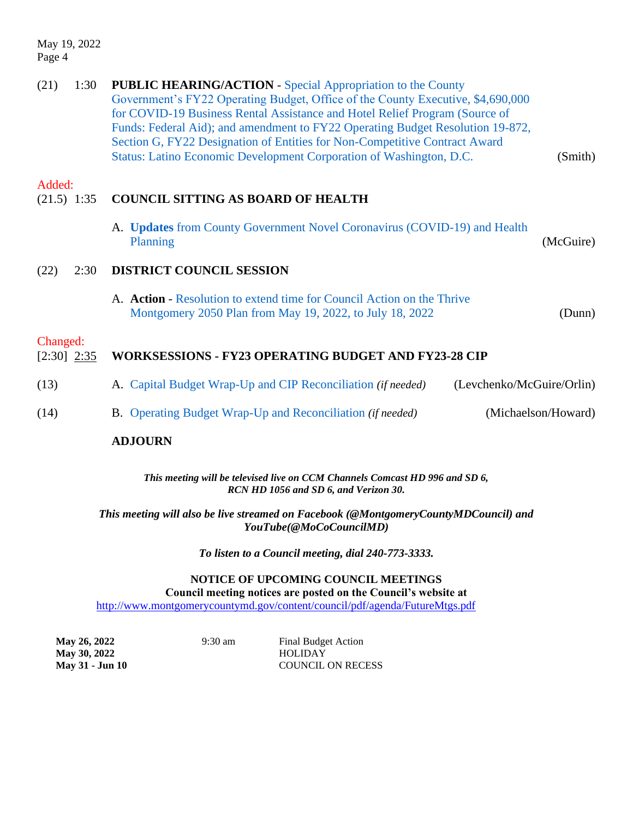May 19, 2022 Page 4

| (21)                      | 1:30 | <b>PUBLIC HEARING/ACTION - Special Appropriation to the County</b><br>Government's FY22 Operating Budget, Office of the County Executive, \$4,690,000<br>for COVID-19 Business Rental Assistance and Hotel Relief Program (Source of<br>Funds: Federal Aid); and amendment to FY22 Operating Budget Resolution 19-872,<br>Section G, FY22 Designation of Entities for Non-Competitive Contract Award<br>Status: Latino Economic Development Corporation of Washington, D.C. | (Smith)   |
|---------------------------|------|-----------------------------------------------------------------------------------------------------------------------------------------------------------------------------------------------------------------------------------------------------------------------------------------------------------------------------------------------------------------------------------------------------------------------------------------------------------------------------|-----------|
| Added:<br>$(21.5)$ 1:35   |      | <b>COUNCIL SITTING AS BOARD OF HEALTH</b>                                                                                                                                                                                                                                                                                                                                                                                                                                   |           |
|                           |      | A. Updates from County Government Novel Coronavirus (COVID-19) and Health<br>Planning                                                                                                                                                                                                                                                                                                                                                                                       | (McGuire) |
| (22)                      | 2:30 | <b>DISTRICT COUNCIL SESSION</b>                                                                                                                                                                                                                                                                                                                                                                                                                                             |           |
|                           |      | A. Action - Resolution to extend time for Council Action on the Thrive<br>Montgomery 2050 Plan from May 19, 2022, to July 18, 2022                                                                                                                                                                                                                                                                                                                                          | (Dunn)    |
| Changed:<br>$[2:30]$ 2:35 |      | WORKSESSIONS - FY23 OPERATING BUDGET AND FY23-28 CIP                                                                                                                                                                                                                                                                                                                                                                                                                        |           |
| (13)                      |      | A. Capital Budget Wrap-Up and CIP Reconciliation (if needed)<br>(Levchenko/McGuire/Orlin)                                                                                                                                                                                                                                                                                                                                                                                   |           |
| (14)                      |      | (Michaelson/Howard)<br><b>B.</b> Operating Budget Wrap-Up and Reconciliation <i>(if needed)</i>                                                                                                                                                                                                                                                                                                                                                                             |           |
|                           |      | <b>ADJOURN</b>                                                                                                                                                                                                                                                                                                                                                                                                                                                              |           |

*This meeting will be televised live on CCM Channels Comcast HD 996 and SD 6, RCN HD 1056 and SD 6, and Verizon 30.*

*This meeting will also be live streamed on Facebook (@MontgomeryCountyMDCouncil) and YouTube(@MoCoCouncilMD)*

*To listen to a Council meeting, dial 240-773-3333.*

**NOTICE OF UPCOMING COUNCIL MEETINGS Council meeting notices are posted on the Council's website at** <http://www.montgomerycountymd.gov/content/council/pdf/agenda/FutureMtgs.pdf>

| <b>May 26, 2022</b> | $9:30 \text{ am}$ | <b>Final Budget Action</b> |
|---------------------|-------------------|----------------------------|
| <b>May 30, 2022</b> |                   | <b>HOLIDAY</b>             |
| May 31 - Jun 10     |                   | <b>COUNCIL ON RECESS</b>   |